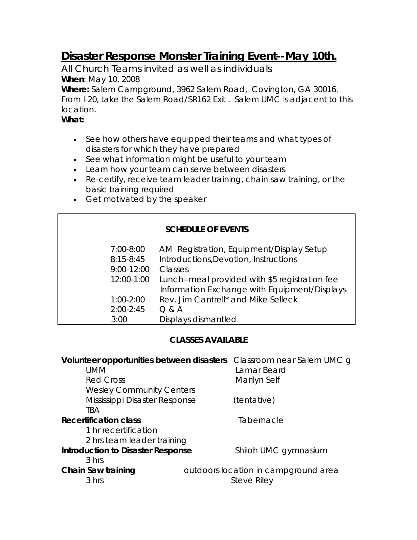# **Disaster Response Monster Training Event--May 10th.**

*All Church Teams invited as well as individuals* **When**: May 10, 2008

**Where:** Salem Campground, 3962 Salem Road, Covington, GA 30016. From I-20, take the Salem Road/SR162 Exit . Salem UMC is adjacent to this location.

### **What:**

- See how others have equipped their teams and what types of disasters for which they have prepared
- See what information might be useful to your team
- Learn how your team can serve between disasters
- Re-certify, receive team leader training, chain saw training, or the basic training required
- Get motivated by the speaker

## **SCHEDULE OF EVENTS**

| 7:00-8:00      | AM Registration, Equipment/Display Setup       |
|----------------|------------------------------------------------|
| $8:15 - 8:45$  | Introductions, Devotion, Instructions          |
| $9:00 - 12:00$ | Classes                                        |
| 12:00-1:00     | Lunch--meal provided with \$5 registration fee |
|                | Information Exchange with Equipment/Displays   |
| $1:00-2:00$    | Rev. Jim Cantrell* and Mike Selleck            |
| $2:00 - 2:45$  | Q & A                                          |
| 3:00           | Displays dismantled                            |
|                |                                                |

## **CLASSES AVAILABLE**

|                                          | Volunteer opportunities between disasters Classroom near Salem UMC g |                                      |
|------------------------------------------|----------------------------------------------------------------------|--------------------------------------|
| <b>UMM</b>                               |                                                                      | Lamar Beard                          |
| <b>Red Cross</b>                         |                                                                      | Marilyn Self                         |
| <b>Wesley Community Centers</b>          |                                                                      |                                      |
| Mississippi Disaster Response            |                                                                      | (tentative)                          |
| <b>TBA</b>                               |                                                                      |                                      |
| <b>Recertification class</b>             |                                                                      | Tabernacle                           |
| 1 hr recertification                     |                                                                      |                                      |
| 2 hrs team leader training               |                                                                      |                                      |
| <b>Introduction to Disaster Response</b> | Shiloh UMC gymnasium                                                 |                                      |
| 3 hrs                                    |                                                                      |                                      |
| Chain Saw training                       |                                                                      | outdoors location in campground area |
| 3 hrs                                    |                                                                      | Steve Riley                          |
|                                          |                                                                      |                                      |